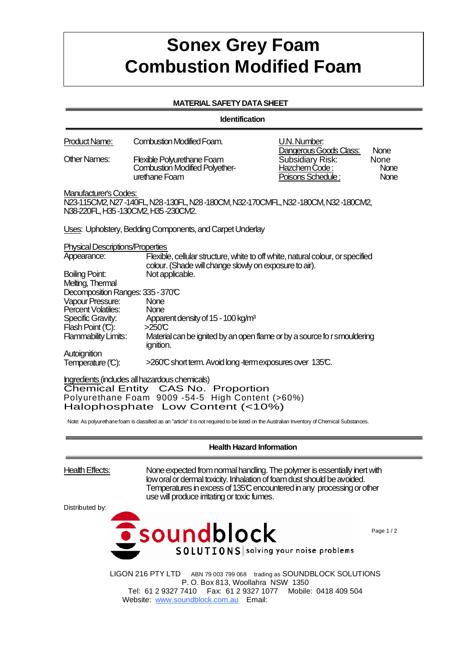## **Sonex Grey Foam Combustion Modified Foam**

## **MATERIAL SAFETY DATA SHEET**

**Identification**

| <b>Product Name:</b>                                                                                                                                                                                                                                                                                                         | <b>Combustion Modified Foam.</b>                                                                                                         | U.N. Number:                                                                            |                                     |  |
|------------------------------------------------------------------------------------------------------------------------------------------------------------------------------------------------------------------------------------------------------------------------------------------------------------------------------|------------------------------------------------------------------------------------------------------------------------------------------|-----------------------------------------------------------------------------------------|-------------------------------------|--|
| <b>Other Names:</b>                                                                                                                                                                                                                                                                                                          | <b>Flexible Polyurethane Foam</b><br><b>Combustion Modified Polyether-</b><br>urethane Foam                                              | Dangerous Goods Class:<br><b>Subsidiary Risk:</b><br>Hazchem Code:<br>Poisons Schedule: | None<br>None<br>None<br><b>None</b> |  |
| <b>Manufacturer's Codes:</b>                                                                                                                                                                                                                                                                                                 | N23-115CM2, N27-140FL, N28-130FL, N28-180CM, N32-170CMFL, N32-180CM, N32-180CM2,<br>N38-220FL, H35-130CM2, H35-230CM2.                   |                                                                                         |                                     |  |
|                                                                                                                                                                                                                                                                                                                              | Uses: Upholstery, Bedding Components, and Carpet Underlay                                                                                |                                                                                         |                                     |  |
| <b>Physical Descriptions/Properties</b>                                                                                                                                                                                                                                                                                      |                                                                                                                                          |                                                                                         |                                     |  |
| Appearance:                                                                                                                                                                                                                                                                                                                  | Flexible, cellular structure, white to off white, natural colour, or specified<br>colour. (Shade will change slowly on exposure to air). |                                                                                         |                                     |  |
| <b>Boiling Point:</b><br>Melting, Thermal                                                                                                                                                                                                                                                                                    | Not applicable.                                                                                                                          |                                                                                         |                                     |  |
| Decomposition Ranges: 335 - 370°C                                                                                                                                                                                                                                                                                            | None                                                                                                                                     |                                                                                         |                                     |  |
| Vapour Pressure:<br>Percent Volatiles:                                                                                                                                                                                                                                                                                       | None                                                                                                                                     |                                                                                         |                                     |  |
| Specific Gravity:                                                                                                                                                                                                                                                                                                            | Apparent density of 15 - 100 kg/m <sup>3</sup>                                                                                           |                                                                                         |                                     |  |
| Flash Point (C):<br><b>Flammability Limits:</b>                                                                                                                                                                                                                                                                              | $>250$ <sup><math>\textdegree</math></sup><br>Material can be ignited by an open flame or by a source fo r smouldering<br>ignition.      |                                                                                         |                                     |  |
| Autoignition                                                                                                                                                                                                                                                                                                                 |                                                                                                                                          |                                                                                         |                                     |  |
| Temperature (C):                                                                                                                                                                                                                                                                                                             | >260°C short term. Avoid long -term exposures over 135°C.                                                                                |                                                                                         |                                     |  |
| Ingredients (includes all hazardous chemicals)<br>Chemical Entity CAS No. Proportion<br>Polyurethane Foam 9009 -54-5 High Content (>60%)<br>Halophosphate Low Content (<10%)<br>Note: As polyurethane foam is classified as an "article" it is not required to be listed on the Australian Inventory of Chemical Substances. |                                                                                                                                          |                                                                                         |                                     |  |
| <b>Health Hazard Information</b>                                                                                                                                                                                                                                                                                             |                                                                                                                                          |                                                                                         |                                     |  |
| $\mathbf{u}$ and $\mathbf{v}$<br>$\sim$ $\sim$ $\sim$ $\sim$ $\sim$ $\sim$ $\sim$ $\sim$                                                                                                                                                                                                                                     |                                                                                                                                          |                                                                                         |                                     |  |

Health Effects: None expected from normal handling. The polymer is essentially inert with low oral or dermal toxicity. Inhalation of foam dust should be avoided. Temperatures in excess of 135°C encountered in any processing or other use will produce irritating or toxic fumes.

Distributed by:



Page 1 / 2

LIGON 216 PTY LTD ABN 79 003 799 068 trading as SOUNDBLOCK SOLUTIONS P. O. Box 813, Woollahra NSW 1350 Tel: 61 2 9327 7410 Fax: 61 2 9327 1077 Mobile: 0418 409 504 Website: www.soundblock.com.au Email: